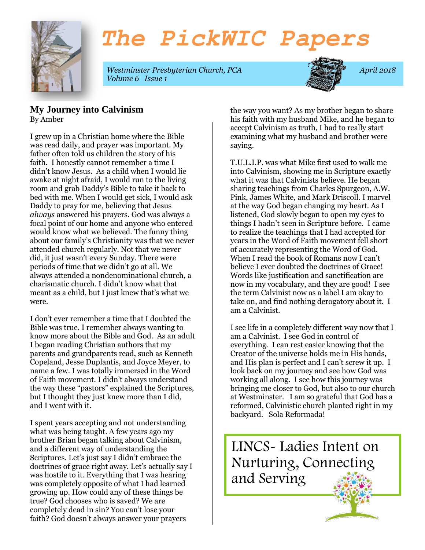

# *The PickWIC Papers*

*Westminster Presbyterian Church, PCA* April 2018 *Volume 6 Issue 1*



#### **My Journey into Calvinism**  By Amber

I grew up in a Christian home where the Bible was read daily, and prayer was important. My father often told us children the story of his faith. I honestly cannot remember a time I didn't know Jesus. As a child when I would lie awake at night afraid, I would run to the living room and grab Daddy's Bible to take it back to bed with me. When I would get sick, I would ask Daddy to pray for me, believing that Jesus *always* answered his prayers. God was always a focal point of our home and anyone who entered would know what we believed. The funny thing about our family's Christianity was that we never attended church regularly. Not that we never did, it just wasn't every Sunday. There were periods of time that we didn't go at all. We always attended a nondenominational church, a charismatic church. I didn't know what that meant as a child, but I just knew that's what we were.

I don't ever remember a time that I doubted the Bible was true. I remember always wanting to know more about the Bible and God. As an adult I began reading Christian authors that my parents and grandparents read, such as Kenneth Copeland, Jesse Duplantis, and Joyce Meyer, to name a few. I was totally immersed in the Word of Faith movement. I didn't always understand the way these "pastors" explained the Scriptures, but I thought they just knew more than I did, and I went with it.

I spent years accepting and not understanding what was being taught. A few years ago my brother Brian began talking about Calvinism, and a different way of understanding the Scriptures. Let's just say I didn't embrace the doctrines of grace right away. Let's actually say I was hostile to it. Everything that I was hearing was completely opposite of what I had learned growing up. How could any of these things be true? God chooses who is saved? We are completely dead in sin? You can't lose your faith? God doesn't always answer your prayers

the way you want? As my brother began to share his faith with my husband Mike, and he began to accept Calvinism as truth, I had to really start examining what my husband and brother were saying.

T.U.L.I.P. was what Mike first used to walk me into Calvinism, showing me in Scripture exactly what it was that Calvinists believe. He began sharing teachings from Charles Spurgeon, A.W. Pink, James White, and Mark Driscoll. I marvel at the way God began changing my heart. As I listened, God slowly began to open my eyes to things I hadn't seen in Scripture before. I came to realize the teachings that I had accepted for years in the Word of Faith movement fell short of accurately representing the Word of God. When I read the book of Romans now I can't believe I ever doubted the doctrines of Grace! Words like justification and sanctification are now in my vocabulary, and they are good! I see the term Calvinist now as a label I am okay to take on, and find nothing derogatory about it. I am a Calvinist.

I see life in a completely different way now that I am a Calvinist. I see God in control of everything. I can rest easier knowing that the Creator of the universe holds me in His hands, and His plan is perfect and I can't screw it up. I look back on my journey and see how God was working all along. I see how this journey was bringing me closer to God, but also to our church at Westminster. I am so grateful that God has a reformed, Calvinistic church planted right in my backyard. Sola Reformada!

LINCS- Ladies Intent on Nurturing, Connecting and Serving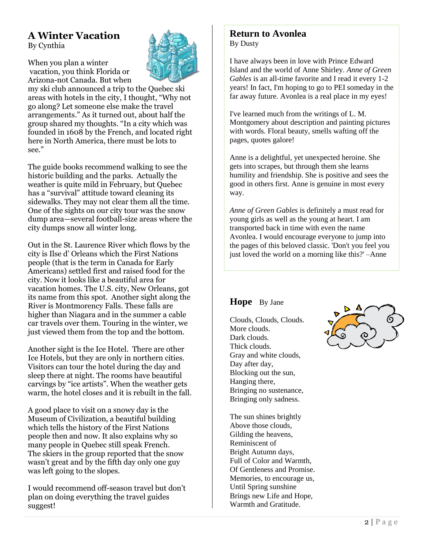### **A Winter Vacation** By Cynthia

When you plan a winter vacation, you think Florida or Arizona-not Canada. But when

my ski club announced a trip to the Quebec ski areas with hotels in the city, I thought, "Why not go along? Let someone else make the travel arrangements." As it turned out, about half the group shared my thoughts. "In a city which was founded in 1608 by the French, and located right here in North America, there must be lots to see."

The guide books recommend walking to see the historic building and the parks. Actually the weather is quite mild in February, but Quebec has a "survival" attitude toward cleaning its sidewalks. They may not clear them all the time. One of the sights on our city tour was the snow dump area—several football-size areas where the city dumps snow all winter long.

Out in the St. Laurence River which flows by the city is Ilse d' Orleans which the First Nations people (that is the term in Canada for Early Americans) settled first and raised food for the city. Now it looks like a beautiful area for vacation homes. The U.S. city, New Orleans, got its name from this spot. Another sight along the River is Montmorency Falls. These falls are higher than Niagara and in the summer a cable car travels over them. Touring in the winter, we just viewed them from the top and the bottom.

Another sight is the Ice Hotel. There are other Ice Hotels, but they are only in northern cities. Visitors can tour the hotel during the day and sleep there at night. The rooms have beautiful carvings by "ice artists". When the weather gets warm, the hotel closes and it is rebuilt in the fall.

A good place to visit on a snowy day is the Museum of Civilization, a beautiful building which tells the history of the First Nations people then and now. It also explains why so many people in Quebec still speak French. The skiers in the group reported that the snow wasn't great and by the fifth day only one guy was left going to the slopes.

I would recommend off-season travel but don't plan on doing everything the travel guides suggest!

#### **Return to Avonlea** By Dusty

I have always been in love with Prince Edward Island and the world of Anne Shirley. *Anne of Green Gables* is an all-time favorite and I read it every 1-2 years! In fact, I'm hoping to go to PEI someday in the far away future. Avonlea is a real place in my eyes!

I've learned much from the writings of L. M. Montgomery about description and painting pictures with words. Floral beauty, smells wafting off the pages, quotes galore!

Anne is a delightful, yet unexpected heroine. She gets into scrapes, but through them she learns humility and friendship. She is positive and sees the good in others first. Anne is genuine in most every way.

*Anne of Green Gables* is definitely a must read for young girls as well as the young at heart. I am transported back in time with even the name Avonlea. I would encourage everyone to jump into the pages of this beloved classic. 'Don't you feel you just loved the world on a morning like this?' –Anne

#### **Hope** By Jane

Clouds, Clouds, Clouds. More clouds. Dark clouds. Thick clouds. Gray and white clouds, Day after day, Blocking out the sun, Hanging there, Bringing no sustenance, Bringing only sadness.

The sun shines brightly Above those clouds, Gilding the heavens, Reminiscent of Bright Autumn days, Full of Color and Warmth, Of Gentleness and Promise. Memories, to encourage us, Until Spring sunshine Brings new Life and Hope, Warmth and Gratitude.

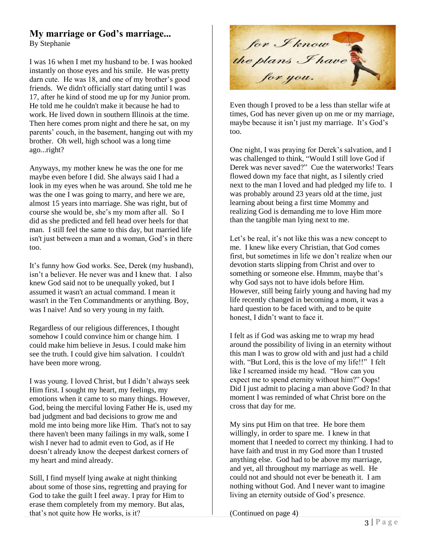# **My marriage or God's marriage...**

By Stephanie

I was 16 when I met my husband to be. I was hooked instantly on those eyes and his smile. He was pretty darn cute. He was 18, and one of my brother's good friends. We didn't officially start dating until I was 17, after he kind of stood me up for my Junior prom. He told me he couldn't make it because he had to work. He lived down in southern Illinois at the time. Then here comes prom night and there he sat, on my parents' couch, in the basement, hanging out with my brother. Oh well, high school was a long time ago...right?

Anyways, my mother knew he was the one for me maybe even before I did. She always said I had a look in my eyes when he was around. She told me he was the one I was going to marry, and here we are, almost 15 years into marriage. She was right, but of course she would be, she's my mom after all. So I did as she predicted and fell head over heels for that man. I still feel the same to this day, but married life isn't just between a man and a woman, God's in there too.

It's funny how God works. See, Derek (my husband), isn't a believer. He never was and I knew that. I also knew God said not to be unequally yoked, but I assumed it wasn't an actual command. I mean it wasn't in the Ten Commandments or anything. Boy, was I naive! And so very young in my faith.

Regardless of our religious differences, I thought somehow I could convince him or change him. I could make him believe in Jesus. I could make him see the truth. I could give him salvation. I couldn't have been more wrong.

I was young. I loved Christ, but I didn't always seek Him first. I sought my heart, my feelings, my emotions when it came to so many things. However, God, being the merciful loving Father He is, used my bad judgment and bad decisions to grow me and mold me into being more like Him. That's not to say there haven't been many failings in my walk, some I wish I never had to admit even to God, as if He doesn't already know the deepest darkest corners of my heart and mind already.

Still, I find myself lying awake at night thinking about some of those sins, regretting and praying for God to take the guilt I feel away. I pray for Him to erase them completely from my memory. But alas, that's not quite how He works, is it?

for I know<br>the plans I have<br>for you.

Even though I proved to be a less than stellar wife at times, God has never given up on me or my marriage, maybe because it isn't just my marriage. It's God's too.

One night, I was praying for Derek's salvation, and I was challenged to think, "Would I still love God if Derek was never saved?" Cue the waterworks! Tears flowed down my face that night, as I silently cried next to the man I loved and had pledged my life to. I was probably around 23 years old at the time, just learning about being a first time Mommy and realizing God is demanding me to love Him more than the tangible man lying next to me.

Let's be real, it's not like this was a new concept to me. I knew like every Christian, that God comes first, but sometimes in life we don't realize when our devotion starts slipping from Christ and over to something or someone else. Hmmm, maybe that's why God says not to have idols before Him. However, still being fairly young and having had my life recently changed in becoming a mom, it was a hard question to be faced with, and to be quite honest, I didn't want to face it.

I felt as if God was asking me to wrap my head around the possibility of living in an eternity without this man I was to grow old with and just had a child with. "But Lord, this is the love of my life!!" I felt like I screamed inside my head. "How can you expect me to spend eternity without him?" Oops! Did I just admit to placing a man above God? In that moment I was reminded of what Christ bore on the cross that day for me.

My sins put Him on that tree. He bore them willingly, in order to spare me. I knew in that moment that I needed to correct my thinking. I had to have faith and trust in my God more than I trusted anything else. God had to be above my marriage, and yet, all throughout my marriage as well. He could not and should not ever be beneath it. I am nothing without God. And I never want to imagine living an eternity outside of God's presence.

(Continued on page 4)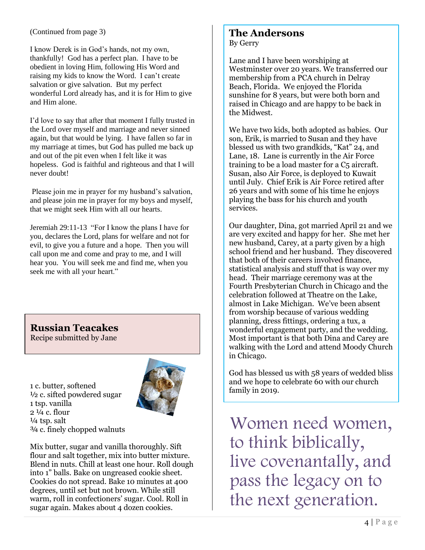#### (Continued from page 3)

I know Derek is in God's hands, not my own, thankfully! God has a perfect plan. I have to be obedient in loving Him, following His Word and raising my kids to know the Word. I can't create salvation or give salvation. But my perfect wonderful Lord already has, and it is for Him to give and Him alone.

I'd love to say that after that moment I fully trusted in the Lord over myself and marriage and never sinned again, but that would be lying. I have fallen so far in my marriage at times, but God has pulled me back up and out of the pit even when I felt like it was hopeless. God is faithful and righteous and that I will never doubt!

Please join me in prayer for my husband's salvation, and please join me in prayer for my boys and myself, that we might seek Him with all our hearts.

Jeremiah 29:11-13 "For I know the plans I have for you, declares the Lord, plans for welfare and not for evil, to give you a future and a hope. Then you will call upon me and come and pray to me, and I will hear you. You will seek me and find me, when you seek me with all your heart."

**Russian Teacakes**

Recipe submitted by Jane

1 c. butter, softened ½ c. sifted powdered sugar 1 tsp. vanilla  $2\frac{1}{4}$  c. flour  $\frac{1}{4}$  tsp. salt ¾ c. finely chopped walnuts



Mix butter, sugar and vanilla thoroughly. Sift flour and salt together, mix into butter mixture. Blend in nuts. Chill at least one hour. Roll dough into 1" balls. Bake on ungreased cookie sheet. Cookies do not spread. Bake 10 minutes at 400 degrees, until set but not brown. While still warm, roll in confectioners' sugar. Cool. Roll in sugar again. Makes about 4 dozen cookies.

#### **The Andersons** By Gerry

Lane and I have been worshiping at Westminster over 20 years. We transferred our membership from a PCA church in Delray Beach, Florida. We enjoyed the Florida sunshine for 8 years, but were both born and raised in Chicago and are happy to be back in the Midwest.

We have two kids, both adopted as babies. Our son, Erik, is married to Susan and they have blessed us with two grandkids, "Kat" 24, and Lane, 18. Lane is currently in the Air Force training to be a load master for a C5 aircraft. Susan, also Air Force, is deployed to Kuwait until July. Chief Erik is Air Force retired after 26 years and with some of his time he enjoys playing the bass for his church and youth services.

Our daughter, Dina, got married April 21 and we are very excited and happy for her. She met her new husband, Carey, at a party given by a high school friend and her husband. They discovered that both of their careers involved finance, statistical analysis and stuff that is way over my head. Their marriage ceremony was at the Fourth Presbyterian Church in Chicago and the celebration followed at Theatre on the Lake, almost in Lake Michigan. We've been absent from worship because of various wedding planning, dress fittings, ordering a tux, a wonderful engagement party, and the wedding. Most important is that both Dina and Carey are walking with the Lord and attend Moody Church in Chicago.

God has blessed us with 58 years of wedded bliss and we hope to celebrate 60 with our church family in 2019.

Women need women, to think biblically, live covenantally, and pass the legacy on to the next generation.